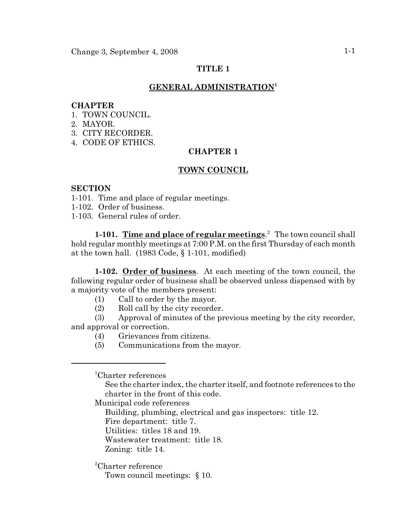# **TITLE 1**

## **GENERAL ADMINISTRATION<sup>1</sup>**

#### **CHAPTER**

- 1. TOWN COUNCIL.
- 2. MAYOR.
- 3. CITY RECORDER.
- 4. CODE OF ETHICS.

## **CHAPTER 1**

#### **TOWN COUNCIL**

### **SECTION**

- 1-101. Time and place of regular meetings.
- 1-102. Order of business.
- 1-103. General rules of order.

**1-101. Time and place of regular meetings**. <sup>2</sup> The town council shall hold regular monthly meetings at 7:00 P.M. on the first Thursday of each month at the town hall. (1983 Code, § 1-101, modified)

**1-102. Order of business**. At each meeting of the town council, the following regular order of business shall be observed unless dispensed with by a majority vote of the members present:

- (1) Call to order by the mayor.
- (2) Roll call by the city recorder.

(3) Approval of minutes of the previous meeting by the city recorder, and approval or correction.

- (4) Grievances from citizens.
- (5) Communications from the mayor.

1 Charter references

See the charter index, the charter itself, and footnote references to the charter in the front of this code.

Municipal code references

Building, plumbing, electrical and gas inspectors: title 12.

Fire department: title 7.

Utilities: titles 18 and 19.

Wastewater treatment: title 18.

Zoning: title 14.

2 Charter reference

Town council meetings: § 10.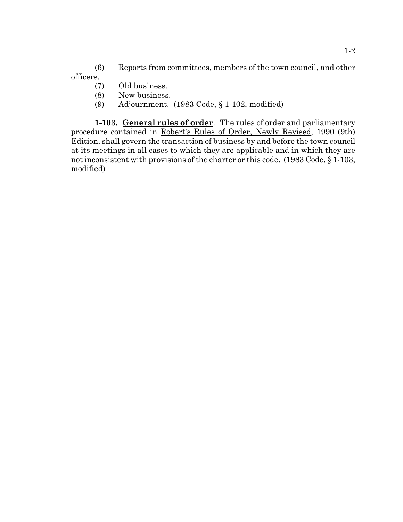(6) Reports from committees, members of the town council, and other officers.

- (7) Old business.
- (8) New business.
- (9) Adjournment. (1983 Code, § 1-102, modified)

**1-103. General rules of order**. The rules of order and parliamentary procedure contained in Robert's Rules of Order, Newly Revised, 1990 (9th) Edition, shall govern the transaction of business by and before the town council at its meetings in all cases to which they are applicable and in which they are not inconsistent with provisions of the charter or this code. (1983 Code, § 1-103, modified)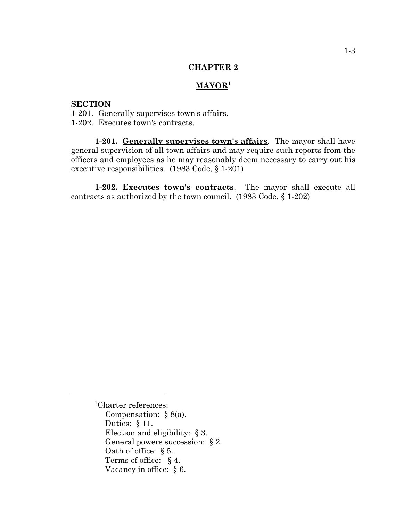#### **CHAPTER 2**

## **MAYOR1**

### **SECTION**

- 1-201. Generally supervises town's affairs.
- 1-202. Executes town's contracts.

**1-201. Generally supervises town's affairs**. The mayor shall have general supervision of all town affairs and may require such reports from the officers and employees as he may reasonably deem necessary to carry out his executive responsibilities. (1983 Code, § 1-201)

**1-202. Executes town's contracts**. The mayor shall execute all contracts as authorized by the town council. (1983 Code, § 1-202)

<sup>&</sup>lt;sup>1</sup>Charter references: Compensation: § 8(a). Duties: § 11. Election and eligibility: § 3. General powers succession: § 2. Oath of office: § 5. Terms of office: § 4. Vacancy in office: § 6.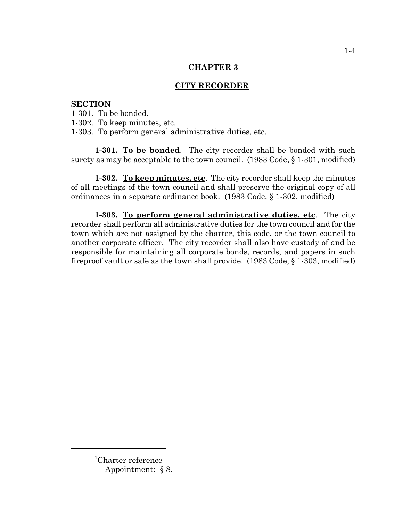### **CHAPTER 3**

# **CITY RECORDER<sup>1</sup>**

### **SECTION**

1-301. To be bonded.

1-302. To keep minutes, etc.

1-303. To perform general administrative duties, etc.

**1-301. To be bonded**. The city recorder shall be bonded with such surety as may be acceptable to the town council. (1983 Code, § 1-301, modified)

**1-302. To keep minutes, etc**. The city recorder shall keep the minutes of all meetings of the town council and shall preserve the original copy of all ordinances in a separate ordinance book. (1983 Code, § 1-302, modified)

**1-303. To perform general administrative duties, etc**. The city recorder shall perform all administrative duties for the town council and for the town which are not assigned by the charter, this code, or the town council to another corporate officer. The city recorder shall also have custody of and be responsible for maintaining all corporate bonds, records, and papers in such fireproof vault or safe as the town shall provide. (1983 Code, § 1-303, modified)

<sup>1</sup> Charter reference Appointment: § 8.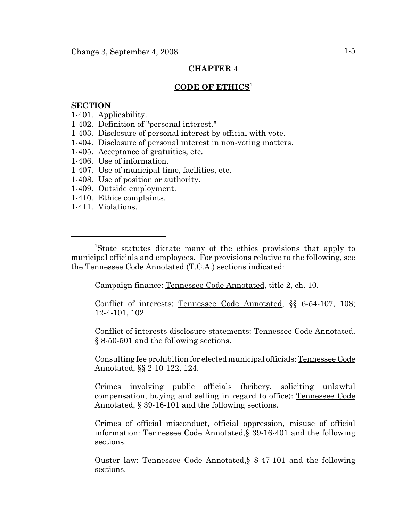# **CHAPTER 4**

# **CODE OF ETHICS**<sup>1</sup>

### **SECTION**

- 1-401. Applicability.
- 1-402. Definition of "personal interest."
- 1-403. Disclosure of personal interest by official with vote.
- 1-404. Disclosure of personal interest in non-voting matters.
- 1-405. Acceptance of gratuities, etc.
- 1-406. Use of information.
- 1-407. Use of municipal time, facilities, etc.
- 1-408. Use of position or authority.
- 1-409. Outside employment.
- 1-410. Ethics complaints.
- 1-411. Violations.

<sup>1</sup>State statutes dictate many of the ethics provisions that apply to municipal officials and employees. For provisions relative to the following, see the Tennessee Code Annotated (T.C.A.) sections indicated:

Campaign finance: Tennessee Code Annotated, title 2, ch. 10.

Conflict of interests: Tennessee Code Annotated, §§ 6-54-107, 108; 12-4-101, 102.

Conflict of interests disclosure statements: Tennessee Code Annotated, § 8-50-501 and the following sections.

Consulting fee prohibition for elected municipal officials: Tennessee Code Annotated, §§ 2-10-122, 124.

Crimes involving public officials (bribery, soliciting unlawful compensation, buying and selling in regard to office): Tennessee Code Annotated, § 39-16-101 and the following sections.

Crimes of official misconduct, official oppression, misuse of official information: Tennessee Code Annotated,§ 39-16-401 and the following sections.

Ouster law: Tennessee Code Annotated,§ 8-47-101 and the following sections.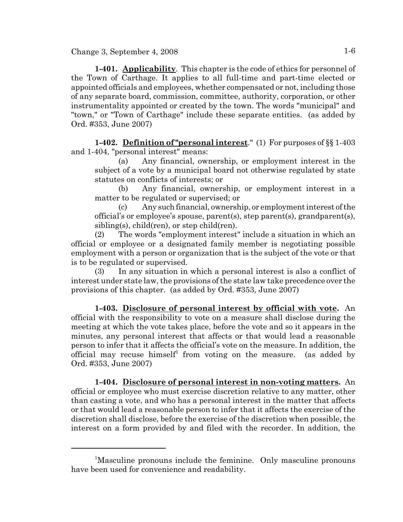**1-401. Applicability**. This chapter is the code of ethics for personnel of the Town of Carthage. It applies to all full-time and part-time elected or appointed officials and employees, whether compensated or not, including those of any separate board, commission, committee, authority, corporation, or other instrumentality appointed or created by the town. The words "municipal" and "town," or "Town of Carthage" include these separate entities. (as added by Ord. #353, June 2007)

**1-402. Definition of "personal interest**." (1) For purposes of §§ 1-403 and 1-404, "personal interest" means:

(a) Any financial, ownership, or employment interest in the subject of a vote by a municipal board not otherwise regulated by state statutes on conflicts of interests; or

(b) Any financial, ownership, or employment interest in a matter to be regulated or supervised; or

(c) Any such financial, ownership, or employment interest of the official's or employee's spouse, parent(s), step parent(s), grandparent(s), sibling(s), child(ren), or step child(ren).

(2) The words "employment interest" include a situation in which an official or employee or a designated family member is negotiating possible employment with a person or organization that is the subject of the vote or that is to be regulated or supervised.

(3) In any situation in which a personal interest is also a conflict of interest under state law, the provisions of the state law take precedence over the provisions of this chapter. (as added by Ord. #353, June 2007)

**1-403. Disclosure of personal interest by official with vote.** An official with the responsibility to vote on a measure shall disclose during the meeting at which the vote takes place, before the vote and so it appears in the minutes, any personal interest that affects or that would lead a reasonable person to infer that it affects the official's vote on the measure. In addition, the official may recuse himself<sup>1</sup> from voting on the measure. (as added by Ord. #353, June 2007)

**1-404. Disclosure of personal interest in non-voting matters.** An official or employee who must exercise discretion relative to any matter, other than casting a vote, and who has a personal interest in the matter that affects or that would lead a reasonable person to infer that it affects the exercise of the discretion shall disclose, before the exercise of the discretion when possible, the interest on a form provided by and filed with the recorder. In addition, the

<sup>&</sup>lt;sup>1</sup>Masculine pronouns include the feminine. Only masculine pronouns have been used for convenience and readability.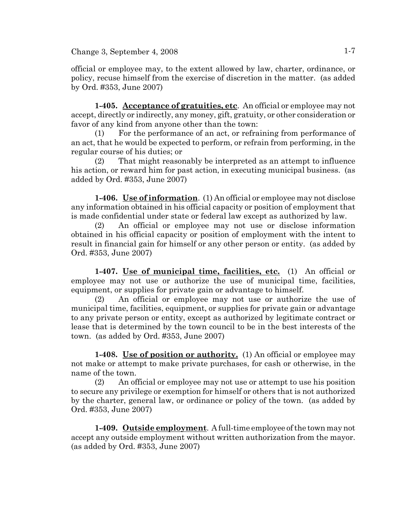Change 3, September 4, 2008  $1-7$ 

official or employee may, to the extent allowed by law, charter, ordinance, or policy, recuse himself from the exercise of discretion in the matter. (as added by Ord. #353, June 2007)

**1-405. Acceptance of gratuities, etc**. An official or employee may not accept, directly or indirectly, any money, gift, gratuity, or other consideration or favor of any kind from anyone other than the town:

(1) For the performance of an act, or refraining from performance of an act, that he would be expected to perform, or refrain from performing, in the regular course of his duties; or

(2) That might reasonably be interpreted as an attempt to influence his action, or reward him for past action, in executing municipal business. (as added by Ord. #353, June 2007)

**1-406. Use of information**. (1) An official or employee may not disclose any information obtained in his official capacity or position of employment that is made confidential under state or federal law except as authorized by law.

(2) An official or employee may not use or disclose information obtained in his official capacity or position of employment with the intent to result in financial gain for himself or any other person or entity. (as added by Ord. #353, June 2007)

**1-407. Use of municipal time, facilities, etc.** (1) An official or employee may not use or authorize the use of municipal time, facilities, equipment, or supplies for private gain or advantage to himself.

(2) An official or employee may not use or authorize the use of municipal time, facilities, equipment, or supplies for private gain or advantage to any private person or entity, except as authorized by legitimate contract or lease that is determined by the town council to be in the best interests of the town. (as added by Ord. #353, June 2007)

**1-408. Use of position or authority.** (1) An official or employee may not make or attempt to make private purchases, for cash or otherwise, in the name of the town.

(2) An official or employee may not use or attempt to use his position to secure any privilege or exemption for himself or others that is not authorized by the charter, general law, or ordinance or policy of the town. (as added by Ord. #353, June 2007)

**1-409. Outside employment**. A full-time employee of the town may not accept any outside employment without written authorization from the mayor. (as added by Ord. #353, June 2007)